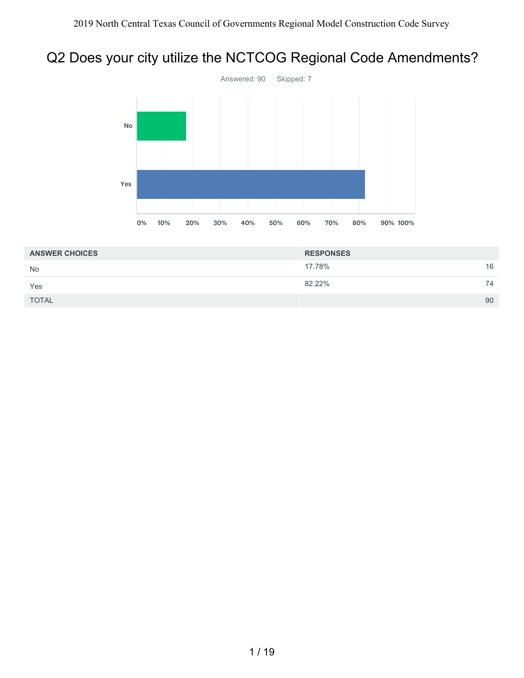# Q2 Does your city utilize the NCTCOG Regional Code Amendments?



| <b>ANSWER CHOICES</b> | <b>RESPONSES</b> |    |
|-----------------------|------------------|----|
| <b>No</b>             | 17.78%           | 16 |
| Yes                   | 82.22%           | 74 |
| <b>TOTAL</b>          |                  | 90 |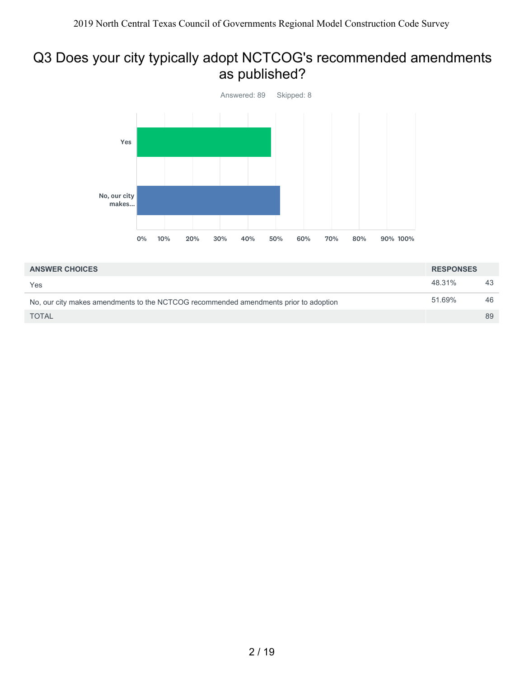# Q3 Does your city typically adopt NCTCOG's recommended amendments as published?



| <b>ANSWER CHOICES</b>                                                                | <b>RESPONSES</b> |    |
|--------------------------------------------------------------------------------------|------------------|----|
| Yes                                                                                  | 48.31%           | 43 |
| No, our city makes amendments to the NCTCOG recommended amendments prior to adoption | 51.69%           | 46 |
| <b>TOTAL</b>                                                                         |                  | 89 |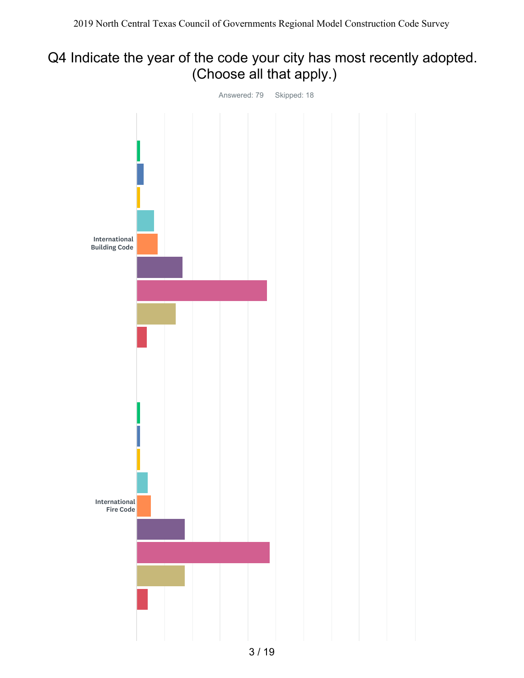# Q4 Indicate the year of the code your city has most recently adopted. (Choose all that apply.)

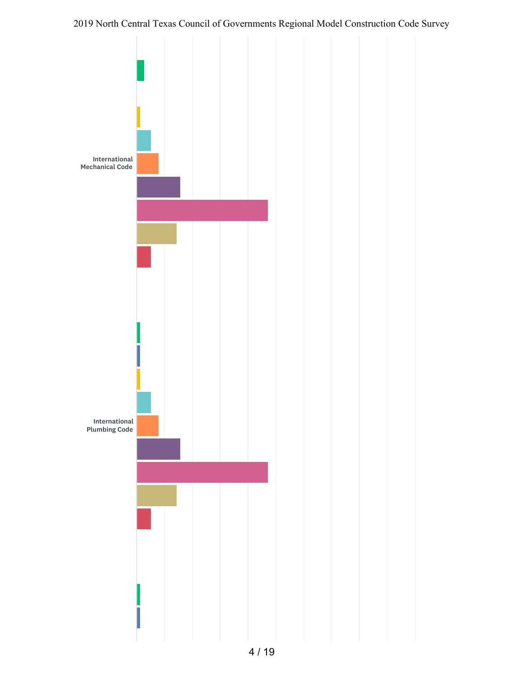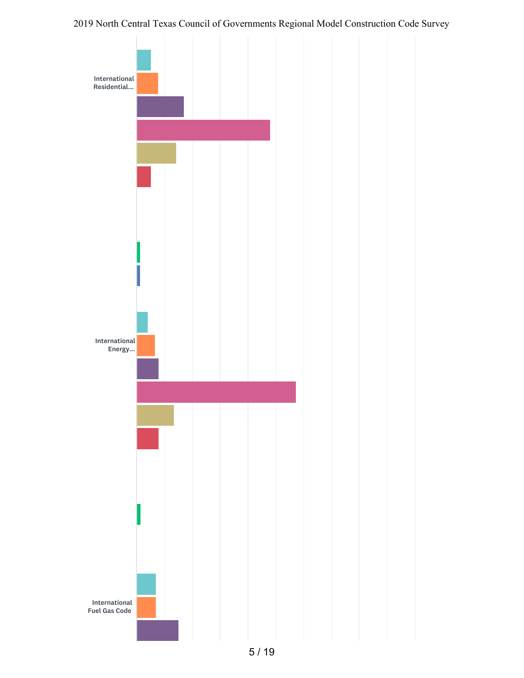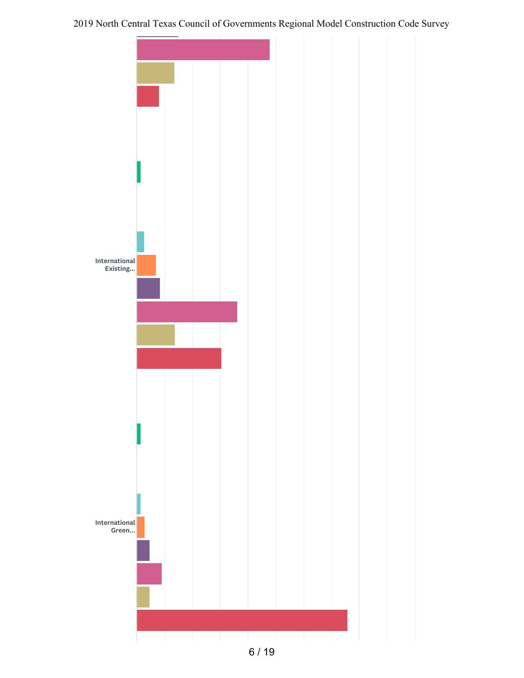

6 / 19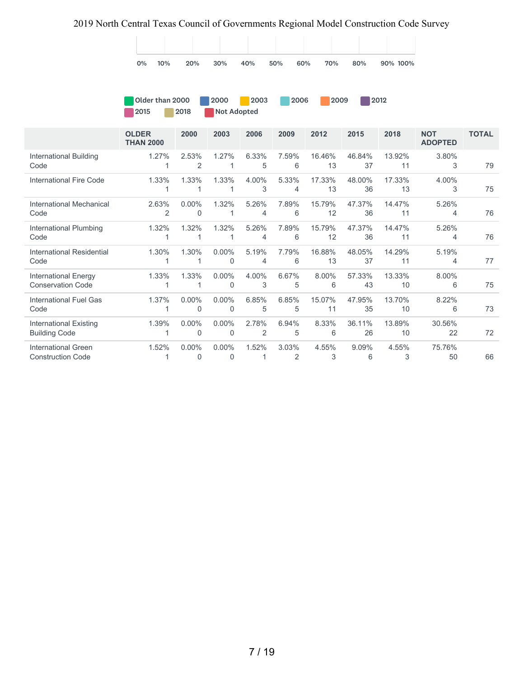

**2009** 2012

| Older than 2000 |      | 2000 | 2003        | 2006 |
|-----------------|------|------|-------------|------|
| 12015           | 2018 |      | Not Adopted |      |

|                                                         | <b>OLDER</b><br><b>THAN 2000</b> | 2000                 | 2003                 | 2006                    | 2009       | 2012         | 2015         | 2018         | <b>NOT</b><br><b>ADOPTED</b> | <b>TOTAL</b> |
|---------------------------------------------------------|----------------------------------|----------------------|----------------------|-------------------------|------------|--------------|--------------|--------------|------------------------------|--------------|
| International Building<br>Code                          | 1.27%                            | 2.53%<br>2           | 1.27%                | 6.33%<br>5              | 7.59%<br>6 | 16.46%<br>13 | 46.84%<br>37 | 13.92%<br>11 | 3.80%<br>3                   | 79           |
| International Fire Code                                 | 1.33%                            | 1.33%                | 1.33%                | 4.00%<br>3              | 5.33%<br>4 | 17.33%<br>13 | 48.00%<br>36 | 17.33%<br>13 | 4.00%<br>3                   | 75           |
| International Mechanical<br>Code                        | 2.63%<br>2                       | $0.00\%$<br>0        | 1.32%                | 5.26%<br>4              | 7.89%<br>6 | 15.79%<br>12 | 47.37%<br>36 | 14.47%<br>11 | 5.26%<br>4                   | 76           |
| International Plumbing<br>Code                          | 1.32%                            | 1.32%                | 1.32%                | 5.26%<br>4              | 7.89%<br>6 | 15.79%<br>12 | 47.37%<br>36 | 14.47%<br>11 | 5.26%<br>4                   | 76           |
| International Residential<br>Code                       | 1.30%                            | 1.30%                | $0.00\%$<br>$\Omega$ | 5.19%<br>4              | 7.79%<br>6 | 16.88%<br>13 | 48.05%<br>37 | 14.29%<br>11 | 5.19%<br>4                   | 77           |
| <b>International Energy</b><br><b>Conservation Code</b> | 1.33%                            | 1.33%<br>1           | $0.00\%$<br>0        | 4.00%<br>3              | 6.67%<br>5 | 8.00%<br>6   | 57.33%<br>43 | 13.33%<br>10 | 8.00%<br>6                   | 75           |
| <b>International Fuel Gas</b><br>Code                   | 1.37%                            | $0.00\%$<br>$\Omega$ | $0.00\%$<br>$\Omega$ | 6.85%<br>5              | 6.85%<br>5 | 15.07%<br>11 | 47.95%<br>35 | 13.70%<br>10 | 8.22%<br>6                   | 73           |
| International Existing<br><b>Building Code</b>          | 1.39%                            | $0.00\%$<br>$\Omega$ | $0.00\%$<br>0        | 2.78%<br>$\overline{2}$ | 6.94%<br>5 | 8.33%<br>6   | 36.11%<br>26 | 13.89%<br>10 | 30.56%<br>22                 | 72           |
| <b>International Green</b><br><b>Construction Code</b>  | 1.52%                            | $0.00\%$<br>$\Omega$ | $0.00\%$<br>$\Omega$ | 1.52%                   | 3.03%<br>2 | 4.55%<br>3   | 9.09%<br>6   | 4.55%<br>3   | 75.76%<br>50                 | 66           |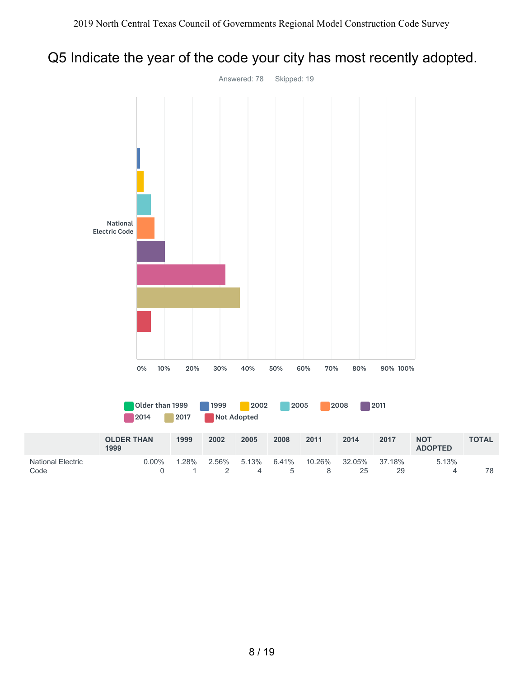## Q5 Indicate the year of the code your city has most recently adopted.

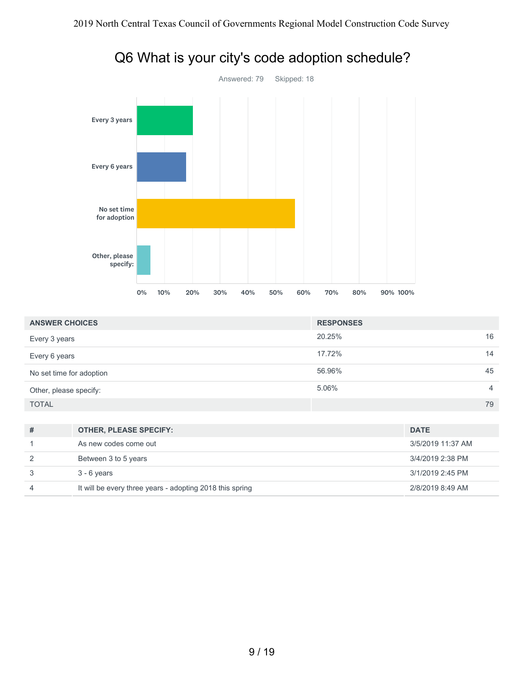

|  |  | Q6 What is your city's code adoption schedule? |  |
|--|--|------------------------------------------------|--|
|--|--|------------------------------------------------|--|

| <b>ANSWER CHOICES</b>    | <b>RESPONSES</b> |                |
|--------------------------|------------------|----------------|
| Every 3 years            | 20.25%           | 16             |
| Every 6 years            | 17.72%           | 14             |
| No set time for adoption | 56.96%           | 45             |
| Other, please specify:   | 5.06%            | $\overline{4}$ |
| <b>TOTAL</b>             |                  | 79             |

| #             | <b>OTHER, PLEASE SPECIFY:</b>                            | <b>DATE</b>       |
|---------------|----------------------------------------------------------|-------------------|
|               | As new codes come out                                    | 3/5/2019 11:37 AM |
| $\mathcal{P}$ | Between 3 to 5 years                                     | 3/4/2019 2:38 PM  |
| 3             | $3 - 6$ years                                            | 3/1/2019 2:45 PM  |
| 4             | It will be every three years - adopting 2018 this spring | 2/8/2019 8:49 AM  |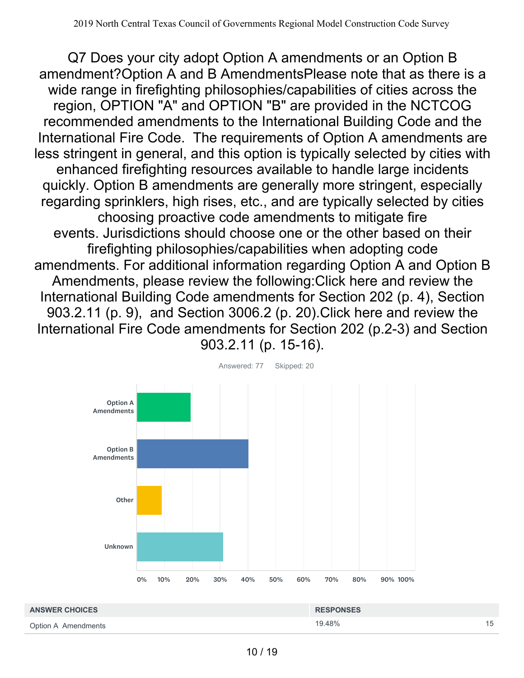Q7 Does your city adopt Option A amendments or an Option B amendment?Option A and B AmendmentsPlease note that as there is a wide range in firefighting philosophies/capabilities of cities across the region, OPTION "A" and OPTION "B" are provided in the NCTCOG recommended amendments to the International Building Code and the International Fire Code. The requirements of Option A amendments are less stringent in general, and this option is typically selected by cities with enhanced firefighting resources available to handle large incidents quickly. Option B amendments are generally more stringent, especially regarding sprinklers, high rises, etc., and are typically selected by cities choosing proactive code amendments to mitigate fire events. Jurisdictions should choose one or the other based on their firefighting philosophies/capabilities when adopting code amendments. For additional information regarding Option A and Option B Amendments, please review the following:Click here and review the International Building Code amendments for Section 202 (p. 4), Section 903.2.11 (p. 9), and Section 3006.2 (p. 20).Click here and review the International Fire Code amendments for Section 202 (p.2-3) and Section 903.2.11 (p. 15-16).



| <b>ANSWER CHOICES</b> | <b>RESPONSES</b> |    |
|-----------------------|------------------|----|
| Option A Amendments   | 19.48%           | 15 |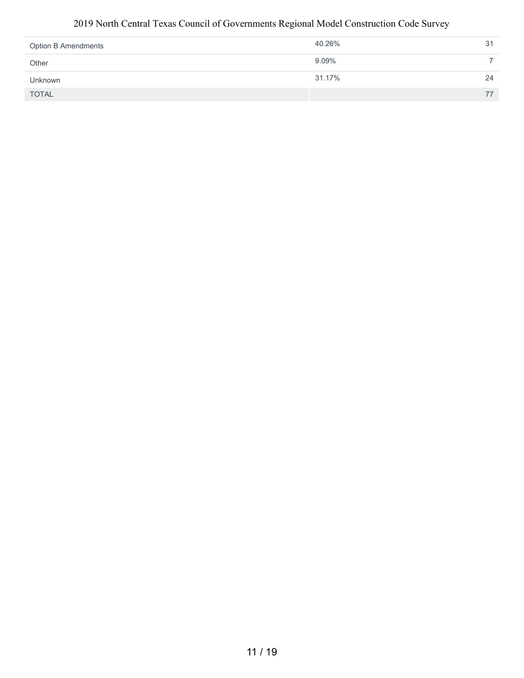| <b>Option B Amendments</b> | 40.26% | 31 |
|----------------------------|--------|----|
| Other                      | 9.09%  |    |
| Unknown                    | 31.17% | 24 |
| <b>TOTAL</b>               |        | 77 |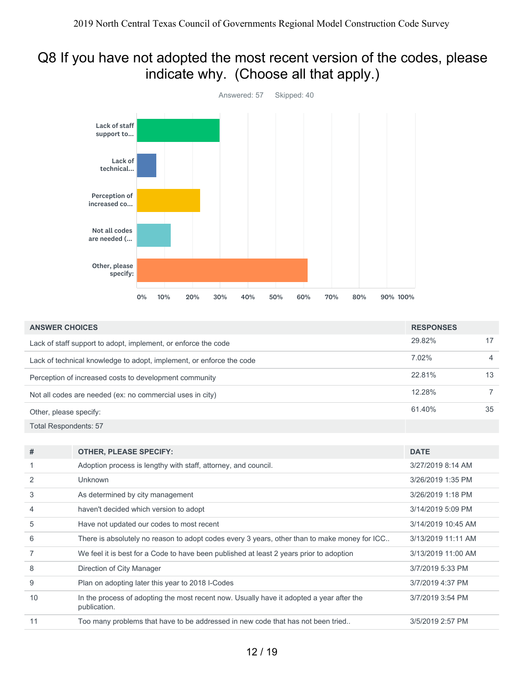### Q8 If you have not adopted the most recent version of the codes, please indicate why. (Choose all that apply.)



| <b>ANSWER CHOICES</b>        |                                                                                                          | <b>RESPONSES</b>   |                |
|------------------------------|----------------------------------------------------------------------------------------------------------|--------------------|----------------|
|                              | Lack of staff support to adopt, implement, or enforce the code                                           | 29.82%             | 17             |
|                              | Lack of technical knowledge to adopt, implement, or enforce the code                                     | 7.02%              | $\overline{4}$ |
|                              | Perception of increased costs to development community                                                   | 22.81%             | 13             |
|                              | Not all codes are needed (ex: no commercial uses in city)                                                | 12.28%             | $\overline{7}$ |
| Other, please specify:       |                                                                                                          | 61.40%             | 35             |
| <b>Total Respondents: 57</b> |                                                                                                          |                    |                |
|                              |                                                                                                          |                    |                |
| #                            | <b>OTHER, PLEASE SPECIFY:</b>                                                                            | <b>DATE</b>        |                |
| 1                            | Adoption process is lengthy with staff, attorney, and council.                                           | 3/27/2019 8:14 AM  |                |
| 2                            | Unknown                                                                                                  | 3/26/2019 1:35 PM  |                |
| 3                            | As determined by city management                                                                         | 3/26/2019 1:18 PM  |                |
| 4                            | haven't decided which version to adopt                                                                   | 3/14/2019 5:09 PM  |                |
| 5                            | Have not updated our codes to most recent                                                                | 3/14/2019 10:45 AM |                |
| 6                            | There is absolutely no reason to adopt codes every 3 years, other than to make money for ICC             | 3/13/2019 11:11 AM |                |
| 7                            | We feel it is best for a Code to have been published at least 2 years prior to adoption                  | 3/13/2019 11:00 AM |                |
| 8                            | Direction of City Manager                                                                                | 3/7/2019 5:33 PM   |                |
| 9                            | Plan on adopting later this year to 2018 I-Codes                                                         | 3/7/2019 4:37 PM   |                |
| 10                           | In the process of adopting the most recent now. Usually have it adopted a year after the<br>publication. | 3/7/2019 3:54 PM   |                |
| 11                           | Too many problems that have to be addressed in new code that has not been tried                          | 3/5/2019 2:57 PM   |                |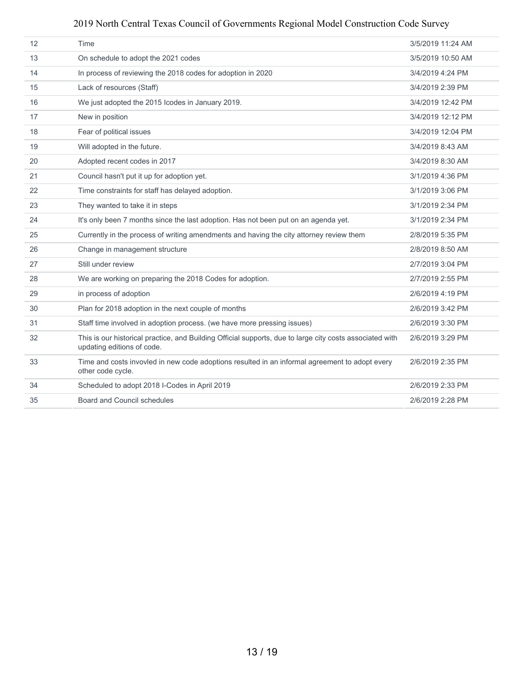| 12 | Time                                                                                                                                   | 3/5/2019 11:24 AM |
|----|----------------------------------------------------------------------------------------------------------------------------------------|-------------------|
| 13 | On schedule to adopt the 2021 codes                                                                                                    | 3/5/2019 10:50 AM |
| 14 | In process of reviewing the 2018 codes for adoption in 2020                                                                            | 3/4/2019 4:24 PM  |
| 15 | Lack of resources (Staff)                                                                                                              | 3/4/2019 2:39 PM  |
| 16 | We just adopted the 2015 Icodes in January 2019.                                                                                       | 3/4/2019 12:42 PM |
| 17 | New in position                                                                                                                        | 3/4/2019 12:12 PM |
| 18 | Fear of political issues                                                                                                               | 3/4/2019 12:04 PM |
| 19 | Will adopted in the future.                                                                                                            | 3/4/2019 8:43 AM  |
| 20 | Adopted recent codes in 2017                                                                                                           | 3/4/2019 8:30 AM  |
| 21 | Council hasn't put it up for adoption yet.                                                                                             | 3/1/2019 4:36 PM  |
| 22 | Time constraints for staff has delayed adoption.                                                                                       | 3/1/2019 3:06 PM  |
| 23 | They wanted to take it in steps                                                                                                        | 3/1/2019 2:34 PM  |
| 24 | It's only been 7 months since the last adoption. Has not been put on an agenda yet.                                                    | 3/1/2019 2:34 PM  |
| 25 | Currently in the process of writing amendments and having the city attorney review them                                                | 2/8/2019 5:35 PM  |
| 26 | Change in management structure                                                                                                         | 2/8/2019 8:50 AM  |
| 27 | Still under review                                                                                                                     | 2/7/2019 3:04 PM  |
| 28 | We are working on preparing the 2018 Codes for adoption.                                                                               | 2/7/2019 2:55 PM  |
| 29 | in process of adoption                                                                                                                 | 2/6/2019 4:19 PM  |
| 30 | Plan for 2018 adoption in the next couple of months                                                                                    | 2/6/2019 3:42 PM  |
| 31 | Staff time involved in adoption process. (we have more pressing issues)                                                                | 2/6/2019 3:30 PM  |
| 32 | This is our historical practice, and Building Official supports, due to large city costs associated with<br>updating editions of code. | 2/6/2019 3:29 PM  |
| 33 | Time and costs invovled in new code adoptions resulted in an informal agreement to adopt every<br>other code cycle.                    | 2/6/2019 2:35 PM  |
| 34 | Scheduled to adopt 2018 I-Codes in April 2019                                                                                          | 2/6/2019 2:33 PM  |
| 35 | Board and Council schedules                                                                                                            | 2/6/2019 2:28 PM  |
|    |                                                                                                                                        |                   |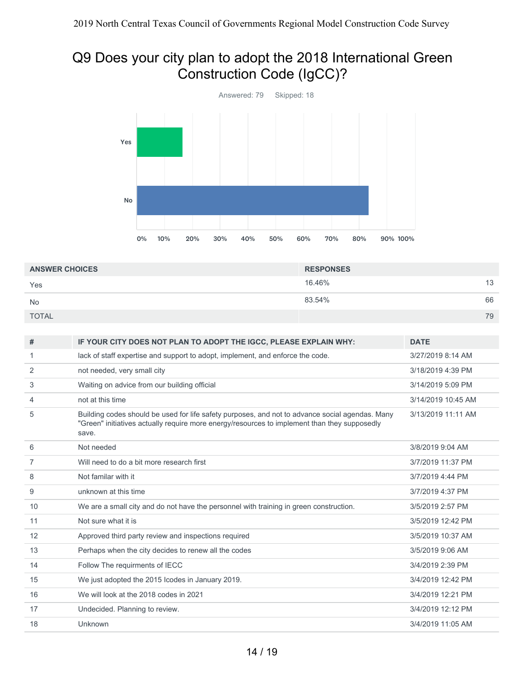# Q9 Does your city plan to adopt the 2018 International Green Construction Code (IgCC)?



| <b>ANSWER CHOICES</b> | <b>RESPONSES</b> |    |
|-----------------------|------------------|----|
| Yes                   | 16.46%           | 13 |
| <b>No</b>             | 83.54%           | 66 |
| <b>TOTAL</b>          |                  | 79 |

| #              | IF YOUR CITY DOES NOT PLAN TO ADOPT THE IGCC, PLEASE EXPLAIN WHY:                                                                                                                                        | <b>DATE</b>        |
|----------------|----------------------------------------------------------------------------------------------------------------------------------------------------------------------------------------------------------|--------------------|
| 1              | lack of staff expertise and support to adopt, implement, and enforce the code.                                                                                                                           | 3/27/2019 8:14 AM  |
| 2              | not needed, very small city                                                                                                                                                                              | 3/18/2019 4:39 PM  |
| 3              | Waiting on advice from our building official                                                                                                                                                             | 3/14/2019 5:09 PM  |
| 4              | not at this time                                                                                                                                                                                         | 3/14/2019 10:45 AM |
| 5              | Building codes should be used for life safety purposes, and not to advance social agendas. Many<br>"Green" initiatives actually require more energy/resources to implement than they supposedly<br>save. | 3/13/2019 11:11 AM |
| 6              | Not needed                                                                                                                                                                                               | 3/8/2019 9:04 AM   |
| $\overline{7}$ | Will need to do a bit more research first                                                                                                                                                                | 3/7/2019 11:37 PM  |
| 8              | Not familar with it                                                                                                                                                                                      | 3/7/2019 4:44 PM   |
| 9              | unknown at this time                                                                                                                                                                                     | 3/7/2019 4:37 PM   |
| 10             | We are a small city and do not have the personnel with training in green construction.                                                                                                                   | 3/5/2019 2:57 PM   |
| 11             | Not sure what it is                                                                                                                                                                                      | 3/5/2019 12:42 PM  |
| 12             | Approved third party review and inspections required                                                                                                                                                     | 3/5/2019 10:37 AM  |
| 13             | Perhaps when the city decides to renew all the codes                                                                                                                                                     | 3/5/2019 9:06 AM   |
| 14             | Follow The requirments of IECC                                                                                                                                                                           | 3/4/2019 2:39 PM   |
| 15             | We just adopted the 2015 Icodes in January 2019.                                                                                                                                                         | 3/4/2019 12:42 PM  |
| 16             | We will look at the 2018 codes in 2021                                                                                                                                                                   | 3/4/2019 12:21 PM  |
| 17             | Undecided. Planning to review.                                                                                                                                                                           | 3/4/2019 12:12 PM  |
| 18             | Unknown                                                                                                                                                                                                  | 3/4/2019 11:05 AM  |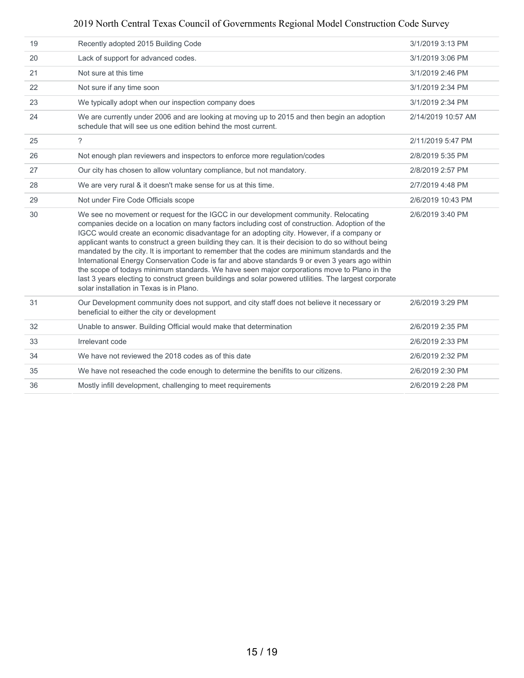| 19 | Recently adopted 2015 Building Code                                                                                                                                                                                                                                                                                                                                                                                                                                                                                                                                                                                                                                                                                                                                                                                                               | 3/1/2019 3:13 PM   |
|----|---------------------------------------------------------------------------------------------------------------------------------------------------------------------------------------------------------------------------------------------------------------------------------------------------------------------------------------------------------------------------------------------------------------------------------------------------------------------------------------------------------------------------------------------------------------------------------------------------------------------------------------------------------------------------------------------------------------------------------------------------------------------------------------------------------------------------------------------------|--------------------|
| 20 | Lack of support for advanced codes.                                                                                                                                                                                                                                                                                                                                                                                                                                                                                                                                                                                                                                                                                                                                                                                                               | 3/1/2019 3:06 PM   |
| 21 | Not sure at this time                                                                                                                                                                                                                                                                                                                                                                                                                                                                                                                                                                                                                                                                                                                                                                                                                             | 3/1/2019 2:46 PM   |
| 22 | Not sure if any time soon                                                                                                                                                                                                                                                                                                                                                                                                                                                                                                                                                                                                                                                                                                                                                                                                                         | 3/1/2019 2:34 PM   |
| 23 | We typically adopt when our inspection company does                                                                                                                                                                                                                                                                                                                                                                                                                                                                                                                                                                                                                                                                                                                                                                                               | 3/1/2019 2:34 PM   |
| 24 | We are currently under 2006 and are looking at moving up to 2015 and then begin an adoption<br>schedule that will see us one edition behind the most current.                                                                                                                                                                                                                                                                                                                                                                                                                                                                                                                                                                                                                                                                                     | 2/14/2019 10:57 AM |
| 25 | $\tilde{?}$                                                                                                                                                                                                                                                                                                                                                                                                                                                                                                                                                                                                                                                                                                                                                                                                                                       | 2/11/2019 5:47 PM  |
| 26 | Not enough plan reviewers and inspectors to enforce more regulation/codes                                                                                                                                                                                                                                                                                                                                                                                                                                                                                                                                                                                                                                                                                                                                                                         | 2/8/2019 5:35 PM   |
| 27 | Our city has chosen to allow voluntary compliance, but not mandatory.                                                                                                                                                                                                                                                                                                                                                                                                                                                                                                                                                                                                                                                                                                                                                                             | 2/8/2019 2:57 PM   |
| 28 | We are very rural & it doesn't make sense for us at this time.                                                                                                                                                                                                                                                                                                                                                                                                                                                                                                                                                                                                                                                                                                                                                                                    | 2/7/2019 4:48 PM   |
| 29 | Not under Fire Code Officials scope                                                                                                                                                                                                                                                                                                                                                                                                                                                                                                                                                                                                                                                                                                                                                                                                               | 2/6/2019 10:43 PM  |
| 30 | We see no movement or request for the IGCC in our development community. Relocating<br>companies decide on a location on many factors including cost of construction. Adoption of the<br>IGCC would create an economic disadvantage for an adopting city. However, if a company or<br>applicant wants to construct a green building they can. It is their decision to do so without being<br>mandated by the city. It is important to remember that the codes are minimum standards and the<br>International Energy Conservation Code is far and above standards 9 or even 3 years ago within<br>the scope of todays minimum standards. We have seen major corporations move to Plano in the<br>last 3 years electing to construct green buildings and solar powered utilities. The largest corporate<br>solar installation in Texas is in Plano. | 2/6/2019 3:40 PM   |
| 31 | Our Development community does not support, and city staff does not believe it necessary or<br>beneficial to either the city or development                                                                                                                                                                                                                                                                                                                                                                                                                                                                                                                                                                                                                                                                                                       | 2/6/2019 3:29 PM   |
| 32 | Unable to answer. Building Official would make that determination                                                                                                                                                                                                                                                                                                                                                                                                                                                                                                                                                                                                                                                                                                                                                                                 | 2/6/2019 2:35 PM   |
| 33 | Irrelevant code                                                                                                                                                                                                                                                                                                                                                                                                                                                                                                                                                                                                                                                                                                                                                                                                                                   | 2/6/2019 2:33 PM   |
| 34 | We have not reviewed the 2018 codes as of this date                                                                                                                                                                                                                                                                                                                                                                                                                                                                                                                                                                                                                                                                                                                                                                                               | 2/6/2019 2:32 PM   |
| 35 | We have not reseached the code enough to determine the benifits to our citizens.                                                                                                                                                                                                                                                                                                                                                                                                                                                                                                                                                                                                                                                                                                                                                                  | 2/6/2019 2:30 PM   |
| 36 | Mostly infill development, challenging to meet requirements                                                                                                                                                                                                                                                                                                                                                                                                                                                                                                                                                                                                                                                                                                                                                                                       | 2/6/2019 2:28 PM   |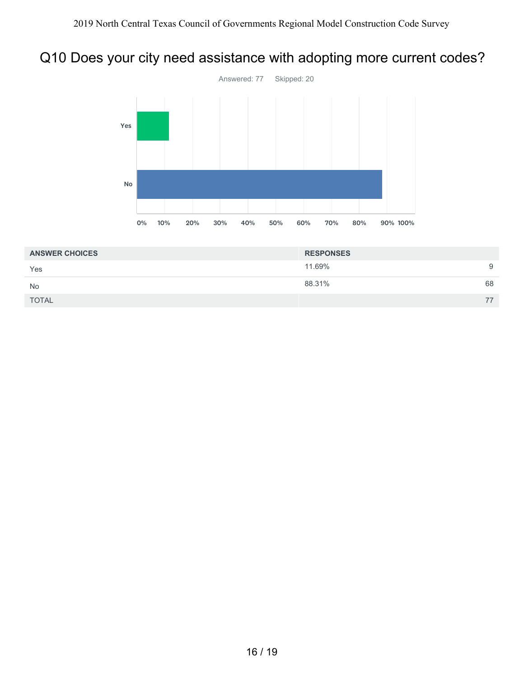# Q10 Does your city need assistance with adopting more current codes?



| <b>ANSWER CHOICES</b> | <b>RESPONSES</b> |    |
|-----------------------|------------------|----|
| Yes                   | 11.69%           | 9  |
| No                    | 88.31%           | 68 |
| <b>TOTAL</b>          |                  | 77 |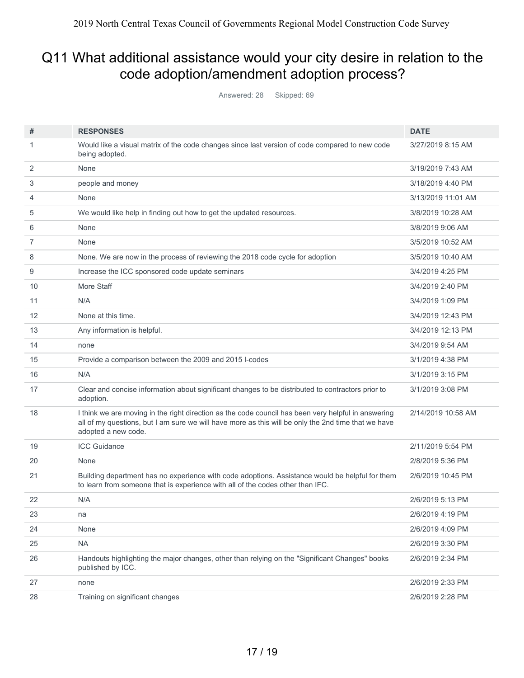## Q11 What additional assistance would your city desire in relation to the code adoption/amendment adoption process?

| Answered: 28 |  | Skipped: 69 |  |
|--------------|--|-------------|--|
|--------------|--|-------------|--|

| #  | <b>RESPONSES</b>                                                                                                                                                                                                                  | <b>DATE</b>        |
|----|-----------------------------------------------------------------------------------------------------------------------------------------------------------------------------------------------------------------------------------|--------------------|
| 1  | Would like a visual matrix of the code changes since last version of code compared to new code<br>being adopted.                                                                                                                  | 3/27/2019 8:15 AM  |
| 2  | None                                                                                                                                                                                                                              | 3/19/2019 7:43 AM  |
| 3  | people and money                                                                                                                                                                                                                  | 3/18/2019 4:40 PM  |
| 4  | None                                                                                                                                                                                                                              | 3/13/2019 11:01 AM |
| 5  | We would like help in finding out how to get the updated resources.                                                                                                                                                               | 3/8/2019 10:28 AM  |
| 6  | None                                                                                                                                                                                                                              | 3/8/2019 9:06 AM   |
| 7  | None                                                                                                                                                                                                                              | 3/5/2019 10:52 AM  |
| 8  | None. We are now in the process of reviewing the 2018 code cycle for adoption                                                                                                                                                     | 3/5/2019 10:40 AM  |
| 9  | Increase the ICC sponsored code update seminars                                                                                                                                                                                   | 3/4/2019 4:25 PM   |
| 10 | More Staff                                                                                                                                                                                                                        | 3/4/2019 2:40 PM   |
| 11 | N/A                                                                                                                                                                                                                               | 3/4/2019 1:09 PM   |
| 12 | None at this time.                                                                                                                                                                                                                | 3/4/2019 12:43 PM  |
| 13 | Any information is helpful.                                                                                                                                                                                                       | 3/4/2019 12:13 PM  |
| 14 | none                                                                                                                                                                                                                              | 3/4/2019 9:54 AM   |
| 15 | Provide a comparison between the 2009 and 2015 I-codes                                                                                                                                                                            | 3/1/2019 4:38 PM   |
| 16 | N/A                                                                                                                                                                                                                               | 3/1/2019 3:15 PM   |
| 17 | Clear and concise information about significant changes to be distributed to contractors prior to<br>adoption.                                                                                                                    | 3/1/2019 3:08 PM   |
| 18 | I think we are moving in the right direction as the code council has been very helpful in answering<br>all of my questions, but I am sure we will have more as this will be only the 2nd time that we have<br>adopted a new code. | 2/14/2019 10:58 AM |
| 19 | <b>ICC Guidance</b>                                                                                                                                                                                                               | 2/11/2019 5:54 PM  |
| 20 | None                                                                                                                                                                                                                              | 2/8/2019 5:36 PM   |
| 21 | Building department has no experience with code adoptions. Assistance would be helpful for them<br>to learn from someone that is experience with all of the codes other than IFC.                                                 | 2/6/2019 10:45 PM  |
| 22 | N/A                                                                                                                                                                                                                               | 2/6/2019 5:13 PM   |
| 23 | na                                                                                                                                                                                                                                | 2/6/2019 4:19 PM   |
| 24 | None                                                                                                                                                                                                                              | 2/6/2019 4:09 PM   |
| 25 | <b>NA</b>                                                                                                                                                                                                                         | 2/6/2019 3:30 PM   |
| 26 | Handouts highlighting the major changes, other than relying on the "Significant Changes" books<br>published by ICC.                                                                                                               | 2/6/2019 2:34 PM   |
| 27 | none                                                                                                                                                                                                                              | 2/6/2019 2:33 PM   |
| 28 | Training on significant changes                                                                                                                                                                                                   | 2/6/2019 2:28 PM   |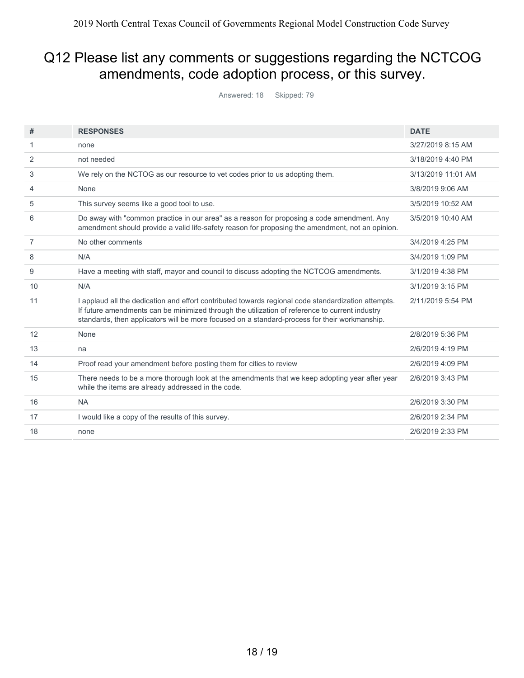## Q12 Please list any comments or suggestions regarding the NCTCOG amendments, code adoption process, or this survey.

| Answered: 18 |  | Skipped: 79 |
|--------------|--|-------------|
|--------------|--|-------------|

| #  | <b>RESPONSES</b>                                                                                                                                                                                                                                                                                       | <b>DATE</b>        |
|----|--------------------------------------------------------------------------------------------------------------------------------------------------------------------------------------------------------------------------------------------------------------------------------------------------------|--------------------|
|    |                                                                                                                                                                                                                                                                                                        |                    |
| 1  | none                                                                                                                                                                                                                                                                                                   | 3/27/2019 8:15 AM  |
| 2  | not needed                                                                                                                                                                                                                                                                                             | 3/18/2019 4:40 PM  |
| 3  | We rely on the NCTOG as our resource to vet codes prior to us adopting them.                                                                                                                                                                                                                           | 3/13/2019 11:01 AM |
| 4  | None                                                                                                                                                                                                                                                                                                   | 3/8/2019 9:06 AM   |
| 5  | This survey seems like a good tool to use.                                                                                                                                                                                                                                                             | 3/5/2019 10:52 AM  |
| 6  | Do away with "common practice in our area" as a reason for proposing a code amendment. Any<br>amendment should provide a valid life-safety reason for proposing the amendment, not an opinion.                                                                                                         | 3/5/2019 10:40 AM  |
| 7  | No other comments                                                                                                                                                                                                                                                                                      | 3/4/2019 4:25 PM   |
| 8  | N/A                                                                                                                                                                                                                                                                                                    | 3/4/2019 1:09 PM   |
| 9  | Have a meeting with staff, mayor and council to discuss adopting the NCTCOG amendments.                                                                                                                                                                                                                | 3/1/2019 4:38 PM   |
| 10 | N/A                                                                                                                                                                                                                                                                                                    | 3/1/2019 3:15 PM   |
| 11 | I applaud all the dedication and effort contributed towards regional code standardization attempts.<br>If future amendments can be minimized through the utilization of reference to current industry<br>standards, then applicators will be more focused on a standard-process for their workmanship. | 2/11/2019 5:54 PM  |
| 12 | None                                                                                                                                                                                                                                                                                                   | 2/8/2019 5:36 PM   |
| 13 | na                                                                                                                                                                                                                                                                                                     | 2/6/2019 4:19 PM   |
| 14 | Proof read your amendment before posting them for cities to review                                                                                                                                                                                                                                     | 2/6/2019 4:09 PM   |
| 15 | There needs to be a more thorough look at the amendments that we keep adopting year after year<br>while the items are already addressed in the code.                                                                                                                                                   | 2/6/2019 3:43 PM   |
| 16 | <b>NA</b>                                                                                                                                                                                                                                                                                              | 2/6/2019 3:30 PM   |
| 17 | I would like a copy of the results of this survey.                                                                                                                                                                                                                                                     | 2/6/2019 2:34 PM   |
| 18 | none                                                                                                                                                                                                                                                                                                   | 2/6/2019 2:33 PM   |